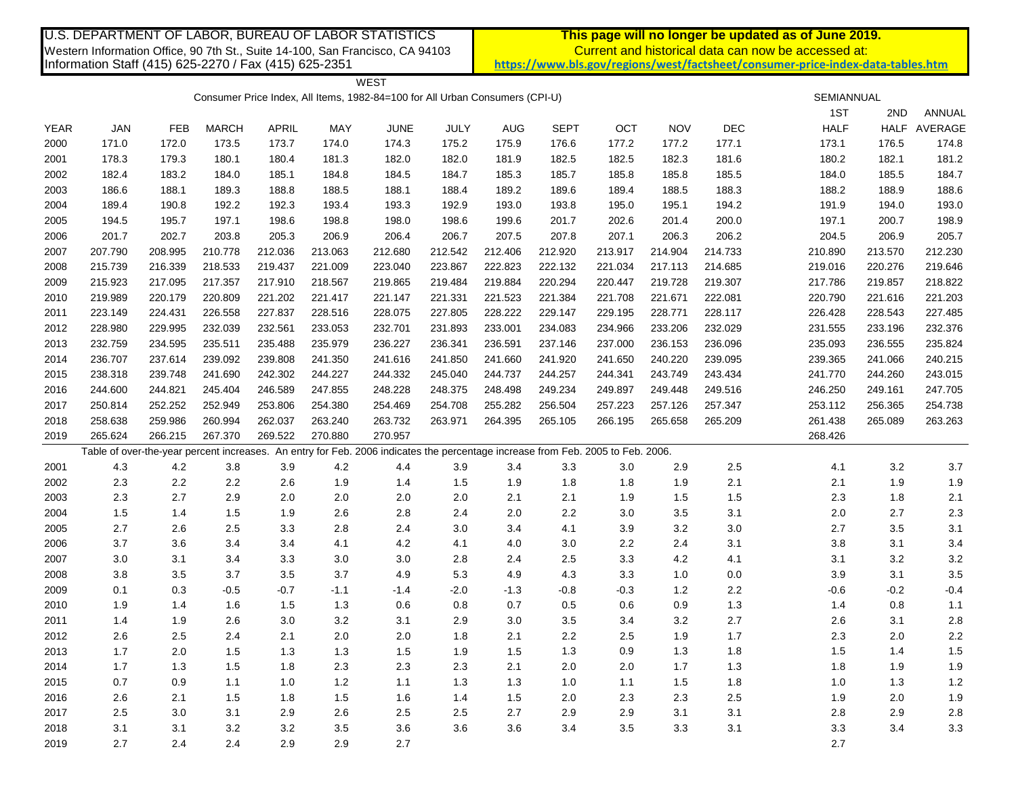| U.S. DEPARTMENT OF LABOR, BUREAU OF LABOR STATISTICS                                                                                   |            |         |              |              |         |                                                                                                                                 |         | This page will no longer be updated as of June 2019.                                                                                   |             |         |            |         |             |             |         |  |
|----------------------------------------------------------------------------------------------------------------------------------------|------------|---------|--------------|--------------|---------|---------------------------------------------------------------------------------------------------------------------------------|---------|----------------------------------------------------------------------------------------------------------------------------------------|-------------|---------|------------|---------|-------------|-------------|---------|--|
| Western Information Office, 90 7th St., Suite 14-100, San Francisco, CA 94103<br>Information Staff (415) 625-2270 / Fax (415) 625-2351 |            |         |              |              |         |                                                                                                                                 |         | Current and historical data can now be accessed at:<br>https://www.bls.gov/regions/west/factsheet/consumer-price-index-data-tables.htm |             |         |            |         |             |             |         |  |
|                                                                                                                                        |            |         |              |              |         |                                                                                                                                 |         |                                                                                                                                        |             |         |            |         |             |             |         |  |
|                                                                                                                                        |            |         |              |              |         | <b>WEST</b>                                                                                                                     |         |                                                                                                                                        |             |         |            |         |             |             |         |  |
|                                                                                                                                        |            |         |              |              |         | Consumer Price Index, All Items, 1982-84=100 for All Urban Consumers (CPI-U)                                                    |         |                                                                                                                                        |             |         |            |         | SEMIANNUAL  |             |         |  |
|                                                                                                                                        |            |         |              |              |         |                                                                                                                                 |         |                                                                                                                                        |             |         |            |         | 1ST         | 2ND         | ANNUAL  |  |
| <b>YEAR</b>                                                                                                                            | <b>JAN</b> | FEB     | <b>MARCH</b> | <b>APRIL</b> | MAY     | <b>JUNE</b>                                                                                                                     | JULY    | AUG                                                                                                                                    | <b>SEPT</b> | OCT     | <b>NOV</b> | DEC     | <b>HALF</b> | <b>HALF</b> | AVERAGE |  |
| 2000                                                                                                                                   | 171.0      | 172.0   | 173.5        | 173.7        | 174.0   | 174.3                                                                                                                           | 175.2   | 175.9                                                                                                                                  | 176.6       | 177.2   | 177.2      | 177.1   | 173.1       | 176.5       | 174.8   |  |
| 2001                                                                                                                                   | 178.3      | 179.3   | 180.1        | 180.4        | 181.3   | 182.0                                                                                                                           | 182.0   | 181.9                                                                                                                                  | 182.5       | 182.5   | 182.3      | 181.6   | 180.2       | 182.1       | 181.2   |  |
| 2002                                                                                                                                   | 182.4      | 183.2   | 184.0        | 185.1        | 184.8   | 184.5                                                                                                                           | 184.7   | 185.3                                                                                                                                  | 185.7       | 185.8   | 185.8      | 185.5   | 184.0       | 185.5       | 184.7   |  |
| 2003                                                                                                                                   | 186.6      | 188.1   | 189.3        | 188.8        | 188.5   | 188.1                                                                                                                           | 188.4   | 189.2                                                                                                                                  | 189.6       | 189.4   | 188.5      | 188.3   | 188.2       | 188.9       | 188.6   |  |
| 2004                                                                                                                                   | 189.4      | 190.8   | 192.2        | 192.3        | 193.4   | 193.3                                                                                                                           | 192.9   | 193.0                                                                                                                                  | 193.8       | 195.0   | 195.1      | 194.2   | 191.9       | 194.0       | 193.0   |  |
| 2005                                                                                                                                   | 194.5      | 195.7   | 197.1        | 198.6        | 198.8   | 198.0                                                                                                                           | 198.6   | 199.6                                                                                                                                  | 201.7       | 202.6   | 201.4      | 200.0   | 197.1       | 200.7       | 198.9   |  |
| 2006                                                                                                                                   | 201.7      | 202.7   | 203.8        | 205.3        | 206.9   | 206.4                                                                                                                           | 206.7   | 207.5                                                                                                                                  | 207.8       | 207.1   | 206.3      | 206.2   | 204.5       | 206.9       | 205.7   |  |
| 2007                                                                                                                                   | 207.790    | 208.995 | 210.778      | 212.036      | 213.063 | 212.680                                                                                                                         | 212.542 | 212.406                                                                                                                                | 212.920     | 213.917 | 214.904    | 214.733 | 210.890     | 213.570     | 212.230 |  |
| 2008                                                                                                                                   | 215.739    | 216.339 | 218.533      | 219.437      | 221.009 | 223.040                                                                                                                         | 223.867 | 222.823                                                                                                                                | 222.132     | 221.034 | 217.113    | 214.685 | 219.016     | 220.276     | 219.646 |  |
| 2009                                                                                                                                   | 215.923    | 217.095 | 217.357      | 217.910      | 218.567 | 219.865                                                                                                                         | 219.484 | 219.884                                                                                                                                | 220.294     | 220.447 | 219.728    | 219.307 | 217.786     | 219.857     | 218.822 |  |
| 2010                                                                                                                                   | 219.989    | 220.179 | 220.809      | 221.202      | 221.417 | 221.147                                                                                                                         | 221.331 | 221.523                                                                                                                                | 221.384     | 221.708 | 221.671    | 222.081 | 220.790     | 221.616     | 221.203 |  |
| 2011                                                                                                                                   | 223.149    | 224.431 | 226.558      | 227.837      | 228.516 | 228.075                                                                                                                         | 227.805 | 228.222                                                                                                                                | 229.147     | 229.195 | 228.771    | 228.117 | 226.428     | 228.543     | 227.485 |  |
| 2012                                                                                                                                   | 228.980    | 229.995 | 232.039      | 232.561      | 233.053 | 232.701                                                                                                                         | 231.893 | 233.001                                                                                                                                | 234.083     | 234.966 | 233.206    | 232.029 | 231.555     | 233.196     | 232.376 |  |
| 2013                                                                                                                                   | 232.759    | 234.595 | 235.511      | 235.488      | 235.979 | 236.227                                                                                                                         | 236.341 | 236.591                                                                                                                                | 237.146     | 237.000 | 236.153    | 236.096 | 235.093     | 236.555     | 235.824 |  |
| 2014                                                                                                                                   | 236.707    | 237.614 | 239.092      | 239.808      | 241.350 | 241.616                                                                                                                         | 241.850 | 241.660                                                                                                                                | 241.920     | 241.650 | 240.220    | 239.095 | 239.365     | 241.066     | 240.215 |  |
| 2015                                                                                                                                   | 238.318    | 239.748 | 241.690      | 242.302      | 244.227 | 244.332                                                                                                                         | 245.040 | 244.737                                                                                                                                | 244.257     | 244.341 | 243.749    | 243.434 | 241.770     | 244.260     | 243.015 |  |
| 2016                                                                                                                                   | 244.600    | 244.821 | 245.404      | 246.589      | 247.855 | 248.228                                                                                                                         | 248.375 | 248.498                                                                                                                                | 249.234     | 249.897 | 249.448    | 249.516 | 246.250     | 249.161     | 247.705 |  |
| 2017                                                                                                                                   | 250.814    | 252.252 | 252.949      | 253.806      | 254.380 | 254.469                                                                                                                         | 254.708 | 255.282                                                                                                                                | 256.504     | 257.223 | 257.126    | 257.347 | 253.112     | 256.365     | 254.738 |  |
| 2018                                                                                                                                   | 258.638    | 259.986 | 260.994      | 262.037      | 263.240 | 263.732                                                                                                                         | 263.971 | 264.395                                                                                                                                | 265.105     | 266.195 | 265.658    | 265.209 | 261.438     | 265.089     | 263.263 |  |
| 2019                                                                                                                                   | 265.624    | 266.215 | 267.370      | 269.522      | 270.880 | 270.957                                                                                                                         |         |                                                                                                                                        |             |         |            |         | 268.426     |             |         |  |
|                                                                                                                                        |            |         |              |              |         | Table of over-the-year percent increases. An entry for Feb. 2006 indicates the percentage increase from Feb. 2005 to Feb. 2006. |         |                                                                                                                                        |             |         |            |         |             |             |         |  |
| 2001                                                                                                                                   | 4.3        | 4.2     | $3.8\,$      | 3.9          | 4.2     | 4.4                                                                                                                             | 3.9     | 3.4                                                                                                                                    | 3.3         | 3.0     | 2.9        | $2.5\,$ | 4.1         | 3.2         | $3.7\,$ |  |
| 2002                                                                                                                                   | 2.3        | 2.2     | 2.2          | 2.6          | 1.9     | 1.4                                                                                                                             | 1.5     | 1.9                                                                                                                                    | 1.8         | 1.8     | 1.9        | 2.1     | 2.1         | 1.9         | 1.9     |  |
| 2003                                                                                                                                   | 2.3        | 2.7     | 2.9          | 2.0          | 2.0     | 2.0                                                                                                                             | 2.0     | 2.1                                                                                                                                    | 2.1         | 1.9     | 1.5        | 1.5     | 2.3         | 1.8         | 2.1     |  |
| 2004                                                                                                                                   | 1.5        | 1.4     | 1.5          | 1.9          | 2.6     | 2.8                                                                                                                             | 2.4     | 2.0                                                                                                                                    | 2.2         | 3.0     | 3.5        | 3.1     | 2.0         | 2.7         | $2.3\,$ |  |
| 2005                                                                                                                                   | 2.7        | 2.6     | 2.5          | 3.3          | 2.8     | 2.4                                                                                                                             | 3.0     | 3.4                                                                                                                                    | 4.1         | 3.9     | 3.2        | 3.0     | 2.7         | 3.5         | 3.1     |  |
| 2006                                                                                                                                   | 3.7        | 3.6     | 3.4          | 3.4          | 4.1     | 4.2                                                                                                                             | 4.1     | 4.0                                                                                                                                    | 3.0         | 2.2     | 2.4        | 3.1     | 3.8         | 3.1         | $3.4$   |  |
| 2007                                                                                                                                   | $3.0\,$    | 3.1     | 3.4          | 3.3          | 3.0     | 3.0                                                                                                                             | $2.8\,$ | 2.4                                                                                                                                    | 2.5         | 3.3     | 4.2        | 4.1     | 3.1         | 3.2         | $3.2\,$ |  |
| 2008                                                                                                                                   | 3.8        | 3.5     | 3.7          | 3.5          | 3.7     | 4.9                                                                                                                             | 5.3     | 4.9                                                                                                                                    | 4.3         | 3.3     | 1.0        | 0.0     | 3.9         | 3.1         | 3.5     |  |
| 2009                                                                                                                                   | 0.1        | 0.3     | $-0.5$       | $-0.7$       | $-1.1$  | $-1.4$                                                                                                                          | $-2.0$  | $-1.3$                                                                                                                                 | $-0.8$      | $-0.3$  | $1.2$      | 2.2     | $-0.6$      | $-0.2$      | $-0.4$  |  |
| 2010                                                                                                                                   | 1.9        | 1.4     | 1.6          | 1.5          | 1.3     | 0.6                                                                                                                             | $0.8\,$ | 0.7                                                                                                                                    | $0.5\,$     | $0.6\,$ | 0.9        | $1.3$   | 1.4         | $0.8\,$     | 1.1     |  |
| 2011                                                                                                                                   | 1.4        | 1.9     | 2.6          | 3.0          | 3.2     | 3.1                                                                                                                             | 2.9     | 3.0                                                                                                                                    | 3.5         | 3.4     | 3.2        | 2.7     | 2.6         | 3.1         | 2.8     |  |
| 2012                                                                                                                                   | 2.6        | 2.5     | 2.4          | 2.1          | $2.0\,$ | 2.0                                                                                                                             | 1.8     | 2.1                                                                                                                                    | 2.2         | 2.5     | 1.9        | 1.7     | 2.3         | 2.0         | $2.2\,$ |  |
| 2013                                                                                                                                   | 1.7        | 2.0     | 1.5          | 1.3          | 1.3     | 1.5                                                                                                                             | 1.9     | 1.5                                                                                                                                    | 1.3         | 0.9     | 1.3        | 1.8     | 1.5         | 1.4         | 1.5     |  |
| 2014                                                                                                                                   | 1.7        | 1.3     | 1.5          | 1.8          | 2.3     | 2.3                                                                                                                             | 2.3     | 2.1                                                                                                                                    | 2.0         | 2.0     | 1.7        | 1.3     | 1.8         | 1.9         | 1.9     |  |
| 2015                                                                                                                                   | 0.7        | 0.9     | 1.1          | 1.0          | 1.2     | 1.1                                                                                                                             | 1.3     | 1.3                                                                                                                                    | 1.0         | 1.1     | 1.5        | 1.8     | 1.0         | 1.3         | $1.2$   |  |
| 2016                                                                                                                                   | 2.6        | 2.1     | 1.5          | 1.8          | 1.5     | 1.6                                                                                                                             | 1.4     | 1.5                                                                                                                                    | 2.0         | 2.3     | 2.3        | $2.5\,$ | 1.9         | 2.0         | 1.9     |  |
| 2017                                                                                                                                   | $2.5\,$    | 3.0     | 3.1          | 2.9          | 2.6     | 2.5                                                                                                                             | 2.5     | 2.7                                                                                                                                    | 2.9         | 2.9     | 3.1        | 3.1     | 2.8         | 2.9         | $2.8\,$ |  |
| 2018                                                                                                                                   | 3.1        | 3.1     | 3.2          | $3.2\,$      | $3.5\,$ | 3.6                                                                                                                             | 3.6     | 3.6                                                                                                                                    | 3.4         | 3.5     | 3.3        | 3.1     | 3.3         | 3.4         | $3.3\,$ |  |
|                                                                                                                                        | 2.7        | 2.4     | 2.4          | 2.9          |         |                                                                                                                                 |         |                                                                                                                                        |             |         |            |         |             |             |         |  |
| 2019                                                                                                                                   |            |         |              |              | 2.9     | 2.7                                                                                                                             |         |                                                                                                                                        |             |         |            |         | 2.7         |             |         |  |